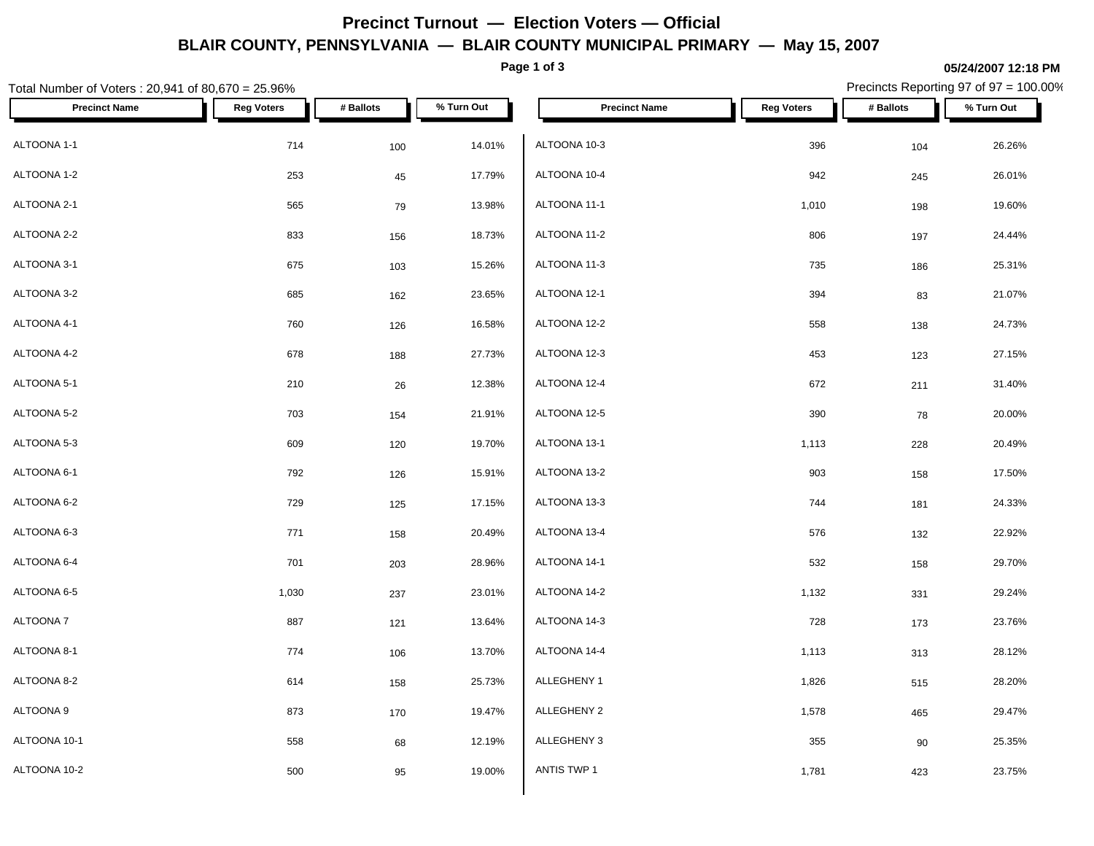# **Precinct Turnout — Election Voters — Official BLAIR COUNTY, PENNSYLVANIA — BLAIR COUNTY MUNICIPAL PRIMARY — May 15, 2007**

**Page 1 of 3**

### **05/24/2007 12:18 PM**

| Total Number of Voters: 20,941 of 80,670 = 25.96% |                   |           |            |                      | Precincts Reporting 97 of 97 = 100.00% |           |            |  |
|---------------------------------------------------|-------------------|-----------|------------|----------------------|----------------------------------------|-----------|------------|--|
| <b>Precinct Name</b>                              | <b>Reg Voters</b> | # Ballots | % Turn Out | <b>Precinct Name</b> | <b>Reg Voters</b>                      | # Ballots | % Turn Out |  |
| ALTOONA 1-1                                       | 714               | 100       | 14.01%     | ALTOONA 10-3         | 396                                    | 104       | 26.26%     |  |
| ALTOONA 1-2                                       | 253               | 45        | 17.79%     | ALTOONA 10-4         | 942                                    | 245       | 26.01%     |  |
| ALTOONA 2-1                                       | 565               | 79        | 13.98%     | ALTOONA 11-1         | 1,010                                  | 198       | 19.60%     |  |
| ALTOONA 2-2                                       | 833               | 156       | 18.73%     | ALTOONA 11-2         | 806                                    | 197       | 24.44%     |  |
| ALTOONA 3-1                                       | 675               | 103       | 15.26%     | ALTOONA 11-3         | 735                                    | 186       | 25.31%     |  |
| ALTOONA 3-2                                       | 685               | 162       | 23.65%     | ALTOONA 12-1         | 394                                    | 83        | 21.07%     |  |
| ALTOONA 4-1                                       | 760               | 126       | 16.58%     | ALTOONA 12-2         | 558                                    | 138       | 24.73%     |  |
| ALTOONA 4-2                                       | 678               | 188       | 27.73%     | ALTOONA 12-3         | 453                                    | 123       | 27.15%     |  |
| ALTOONA 5-1                                       | 210               | 26        | 12.38%     | ALTOONA 12-4         | 672                                    | 211       | 31.40%     |  |
| ALTOONA 5-2                                       | 703               | 154       | 21.91%     | ALTOONA 12-5         | 390                                    | 78        | 20.00%     |  |
| ALTOONA 5-3                                       | 609               | 120       | 19.70%     | ALTOONA 13-1         | 1,113                                  | 228       | 20.49%     |  |
| ALTOONA 6-1                                       | 792               | 126       | 15.91%     | ALTOONA 13-2         | 903                                    | 158       | 17.50%     |  |
| ALTOONA 6-2                                       | 729               | 125       | 17.15%     | ALTOONA 13-3         | 744                                    | 181       | 24.33%     |  |
| ALTOONA 6-3                                       | 771               | 158       | 20.49%     | ALTOONA 13-4         | 576                                    | 132       | 22.92%     |  |
| ALTOONA 6-4                                       | 701               | 203       | 28.96%     | ALTOONA 14-1         | 532                                    | 158       | 29.70%     |  |
| ALTOONA 6-5                                       | 1,030             | 237       | 23.01%     | ALTOONA 14-2         | 1,132                                  | 331       | 29.24%     |  |
| ALTOONA 7                                         | 887               | 121       | 13.64%     | ALTOONA 14-3         | 728                                    | 173       | 23.76%     |  |
| ALTOONA 8-1                                       | 774               | 106       | 13.70%     | ALTOONA 14-4         | 1,113                                  | 313       | 28.12%     |  |
| ALTOONA 8-2                                       | 614               | 158       | 25.73%     | ALLEGHENY 1          | 1,826                                  | 515       | 28.20%     |  |
| ALTOONA 9                                         | 873               | 170       | 19.47%     | ALLEGHENY 2          | 1,578                                  | 465       | 29.47%     |  |
| ALTOONA 10-1                                      | 558               | 68        | 12.19%     | ALLEGHENY 3          | 355                                    | 90        | 25.35%     |  |
| ALTOONA 10-2                                      | 500               | 95        | 19.00%     | ANTIS TWP 1          | 1,781                                  | 423       | 23.75%     |  |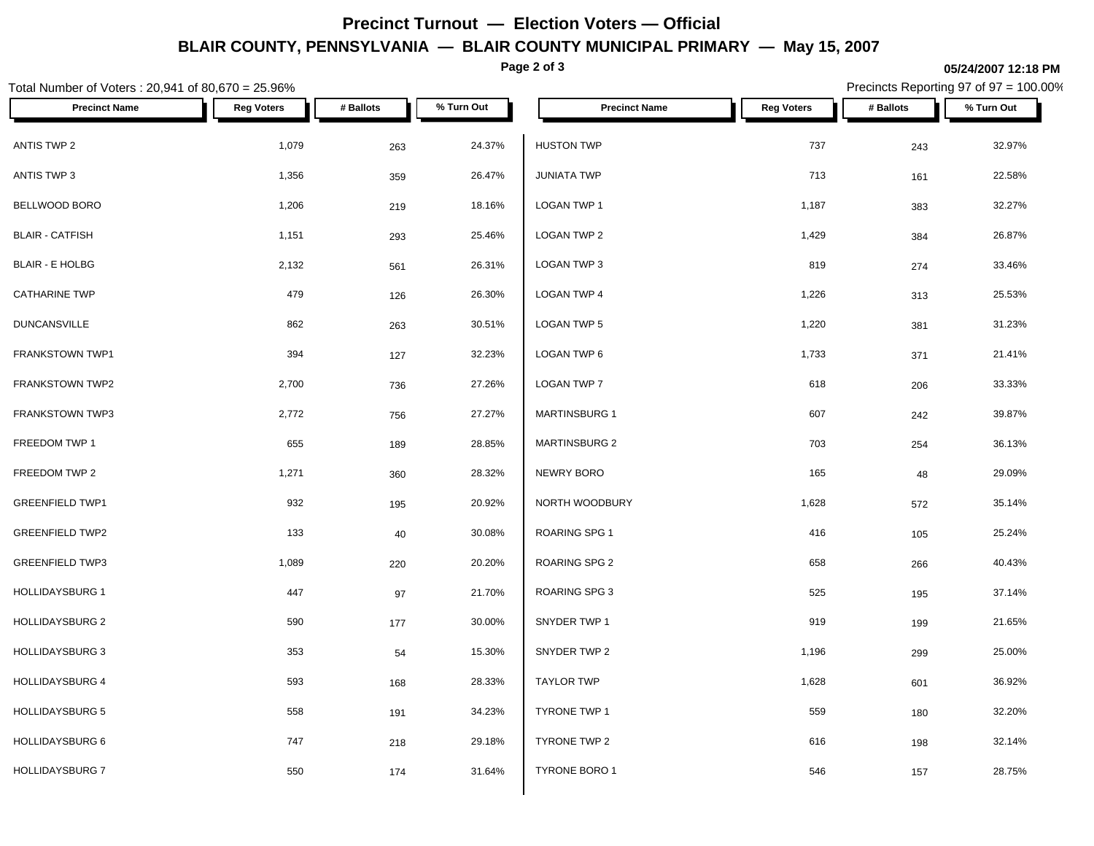# **Precinct Turnout — Election Voters — Official BLAIR COUNTY, PENNSYLVANIA — BLAIR COUNTY MUNICIPAL PRIMARY — May 15, 2007**

**Page 2 of 3**

### **05/24/2007 12:18 PM**

Precincts Reporting 97 of 97 = 100.00%

| Total Number of Voters: 20,941 of 80,670 = 25.96% |                   |           |            | Precincts Reporting 97 of 97 = 100.00% |                   |           |            |
|---------------------------------------------------|-------------------|-----------|------------|----------------------------------------|-------------------|-----------|------------|
| <b>Precinct Name</b>                              | <b>Reg Voters</b> | # Ballots | % Turn Out | <b>Precinct Name</b>                   | <b>Reg Voters</b> | # Ballots | % Turn Out |
| ANTIS TWP 2                                       | 1,079             | 263       | 24.37%     | <b>HUSTON TWP</b>                      | 737               | 243       | 32.97%     |
| ANTIS TWP 3                                       | 1,356             | 359       | 26.47%     | <b>JUNIATA TWP</b>                     | 713               | 161       | 22.58%     |
| BELLWOOD BORO                                     | 1,206             | 219       | 18.16%     | LOGAN TWP 1                            | 1,187             | 383       | 32.27%     |
| <b>BLAIR - CATFISH</b>                            | 1,151             | 293       | 25.46%     | LOGAN TWP 2                            | 1,429             | 384       | 26.87%     |
| <b>BLAIR - E HOLBG</b>                            | 2,132             | 561       | 26.31%     | LOGAN TWP 3                            | 819               | 274       | 33.46%     |
| <b>CATHARINE TWP</b>                              | 479               | 126       | 26.30%     | LOGAN TWP 4                            | 1,226             | 313       | 25.53%     |
| <b>DUNCANSVILLE</b>                               | 862               | 263       | 30.51%     | LOGAN TWP 5                            | 1,220             | 381       | 31.23%     |
| FRANKSTOWN TWP1                                   | 394               | 127       | 32.23%     | LOGAN TWP 6                            | 1,733             | 371       | 21.41%     |
| FRANKSTOWN TWP2                                   | 2,700             | 736       | 27.26%     | LOGAN TWP 7                            | 618               | 206       | 33.33%     |
| FRANKSTOWN TWP3                                   | 2,772             | 756       | 27.27%     | <b>MARTINSBURG 1</b>                   | 607               | 242       | 39.87%     |
| FREEDOM TWP 1                                     | 655               | 189       | 28.85%     | <b>MARTINSBURG 2</b>                   | 703               | 254       | 36.13%     |
| FREEDOM TWP 2                                     | 1,271             | 360       | 28.32%     | NEWRY BORO                             | 165               | 48        | 29.09%     |
| <b>GREENFIELD TWP1</b>                            | 932               | 195       | 20.92%     | NORTH WOODBURY                         | 1,628             | 572       | 35.14%     |
| <b>GREENFIELD TWP2</b>                            | 133               | 40        | 30.08%     | ROARING SPG 1                          | 416               | 105       | 25.24%     |
| <b>GREENFIELD TWP3</b>                            | 1,089             | 220       | 20.20%     | ROARING SPG 2                          | 658               | 266       | 40.43%     |
| <b>HOLLIDAYSBURG 1</b>                            | 447               | 97        | 21.70%     | <b>ROARING SPG 3</b>                   | 525               | 195       | 37.14%     |
| <b>HOLLIDAYSBURG 2</b>                            | 590               | 177       | 30.00%     | SNYDER TWP 1                           | 919               | 199       | 21.65%     |
| <b>HOLLIDAYSBURG 3</b>                            | 353               | 54        | 15.30%     | SNYDER TWP 2                           | 1,196             | 299       | 25.00%     |
| HOLLIDAYSBURG 4                                   | 593               | 168       | 28.33%     | <b>TAYLOR TWP</b>                      | 1,628             | 601       | 36.92%     |
| <b>HOLLIDAYSBURG 5</b>                            | 558               | 191       | 34.23%     | <b>TYRONE TWP 1</b>                    | 559               | 180       | 32.20%     |
| <b>HOLLIDAYSBURG 6</b>                            | 747               | 218       | 29.18%     | TYRONE TWP 2                           | 616               | 198       | 32.14%     |
| <b>HOLLIDAYSBURG 7</b>                            | 550               | 174       | 31.64%     | TYRONE BORO 1                          | 546               | 157       | 28.75%     |